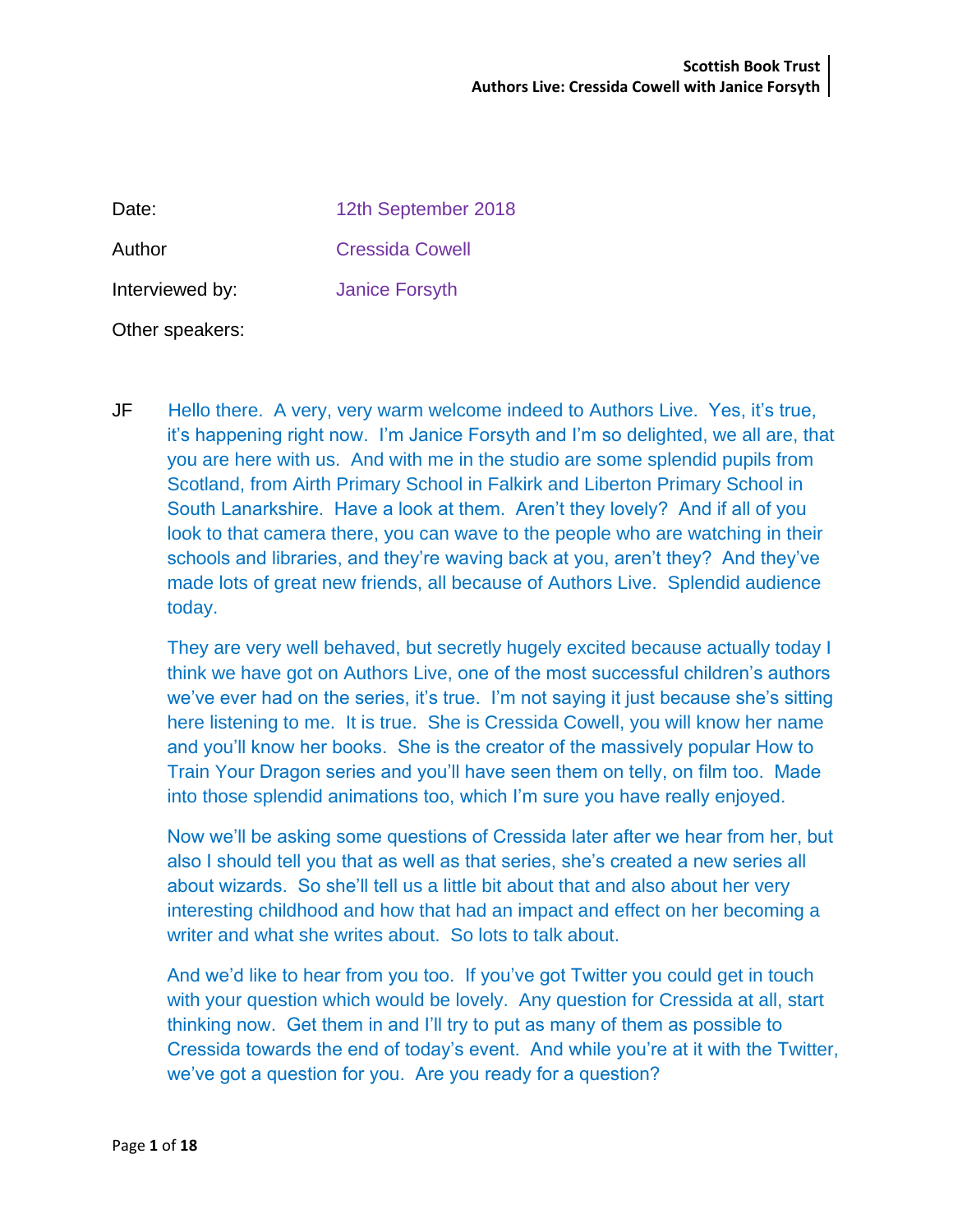| Date:           | 12th September 2018   |
|-----------------|-----------------------|
| Author          | Cressida Cowell       |
| Interviewed by: | <b>Janice Forsyth</b> |
| Other speakers: |                       |

JF Hello there. A very, very warm welcome indeed to Authors Live. Yes, it's true, it's happening right now. I'm Janice Forsyth and I'm so delighted, we all are, that you are here with us. And with me in the studio are some splendid pupils from Scotland, from Airth Primary School in Falkirk and Liberton Primary School in South Lanarkshire. Have a look at them. Aren't they lovely? And if all of you look to that camera there, you can wave to the people who are watching in their schools and libraries, and they're waving back at you, aren't they? And they've made lots of great new friends, all because of Authors Live. Splendid audience today.

They are very well behaved, but secretly hugely excited because actually today I think we have got on Authors Live, one of the most successful children's authors we've ever had on the series, it's true. I'm not saying it just because she's sitting here listening to me. It is true. She is Cressida Cowell, you will know her name and you'll know her books. She is the creator of the massively popular How to Train Your Dragon series and you'll have seen them on telly, on film too. Made into those splendid animations too, which I'm sure you have really enjoyed.

Now we'll be asking some questions of Cressida later after we hear from her, but also I should tell you that as well as that series, she's created a new series all about wizards. So she'll tell us a little bit about that and also about her very interesting childhood and how that had an impact and effect on her becoming a writer and what she writes about. So lots to talk about.

And we'd like to hear from you too. If you've got Twitter you could get in touch with your question which would be lovely. Any question for Cressida at all, start thinking now. Get them in and I'll try to put as many of them as possible to Cressida towards the end of today's event. And while you're at it with the Twitter, we've got a question for you. Are you ready for a question?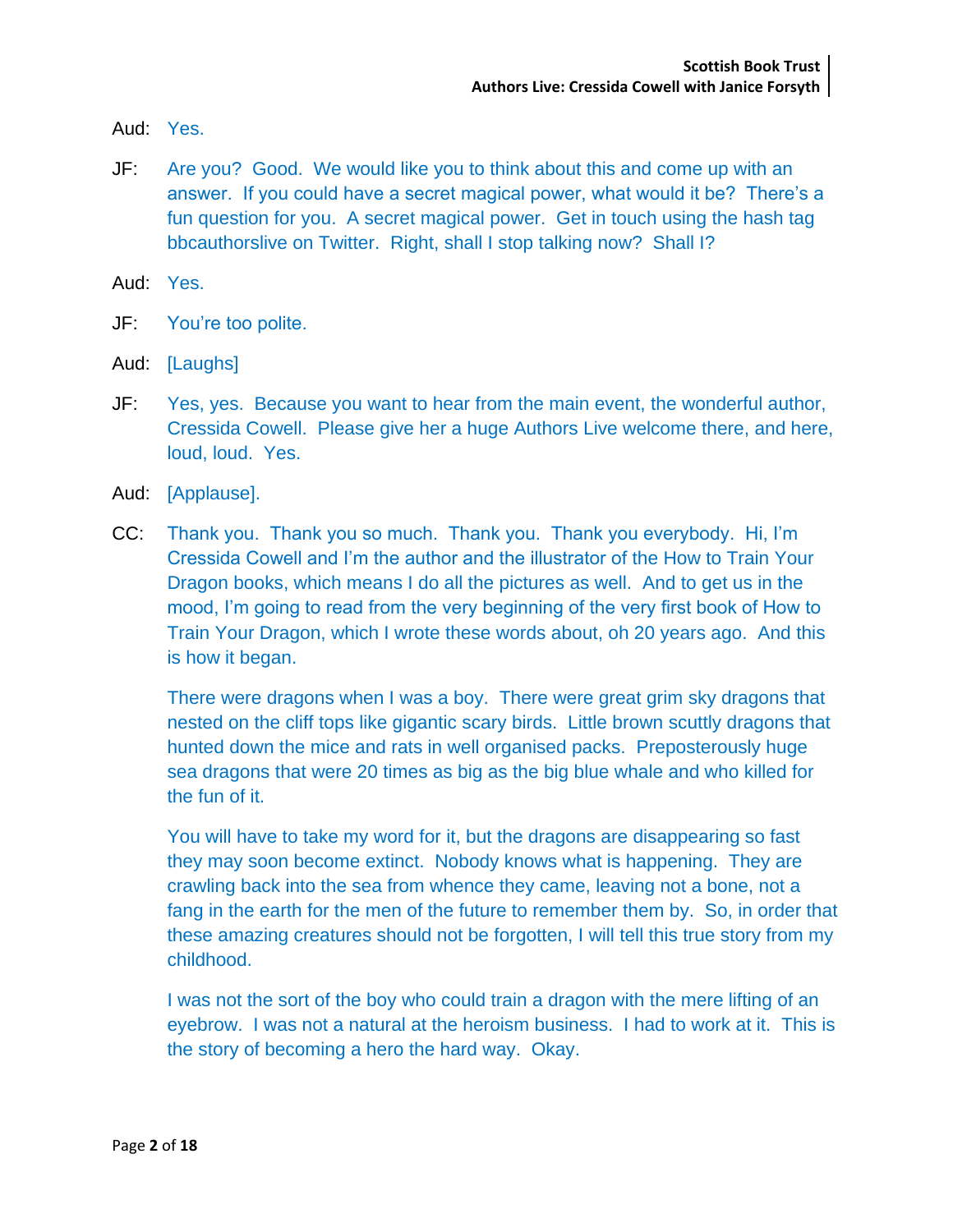Aud: Yes.

JF: Are you? Good. We would like you to think about this and come up with an answer. If you could have a secret magical power, what would it be? There's a fun question for you. A secret magical power. Get in touch using the hash tag bbcauthorslive on Twitter. Right, shall I stop talking now? Shall I?

Aud: Yes.

- JF: You're too polite.
- Aud: [Laughs]
- JF: Yes, yes. Because you want to hear from the main event, the wonderful author, Cressida Cowell. Please give her a huge Authors Live welcome there, and here, loud, loud. Yes.
- Aud: [Applause].
- CC: Thank you. Thank you so much. Thank you. Thank you everybody. Hi, I'm Cressida Cowell and I'm the author and the illustrator of the How to Train Your Dragon books, which means I do all the pictures as well. And to get us in the mood, I'm going to read from the very beginning of the very first book of How to Train Your Dragon, which I wrote these words about, oh 20 years ago. And this is how it began.

There were dragons when I was a boy. There were great grim sky dragons that nested on the cliff tops like gigantic scary birds. Little brown scuttly dragons that hunted down the mice and rats in well organised packs. Preposterously huge sea dragons that were 20 times as big as the big blue whale and who killed for the fun of it.

You will have to take my word for it, but the dragons are disappearing so fast they may soon become extinct. Nobody knows what is happening. They are crawling back into the sea from whence they came, leaving not a bone, not a fang in the earth for the men of the future to remember them by. So, in order that these amazing creatures should not be forgotten, I will tell this true story from my childhood.

I was not the sort of the boy who could train a dragon with the mere lifting of an eyebrow. I was not a natural at the heroism business. I had to work at it. This is the story of becoming a hero the hard way. Okay.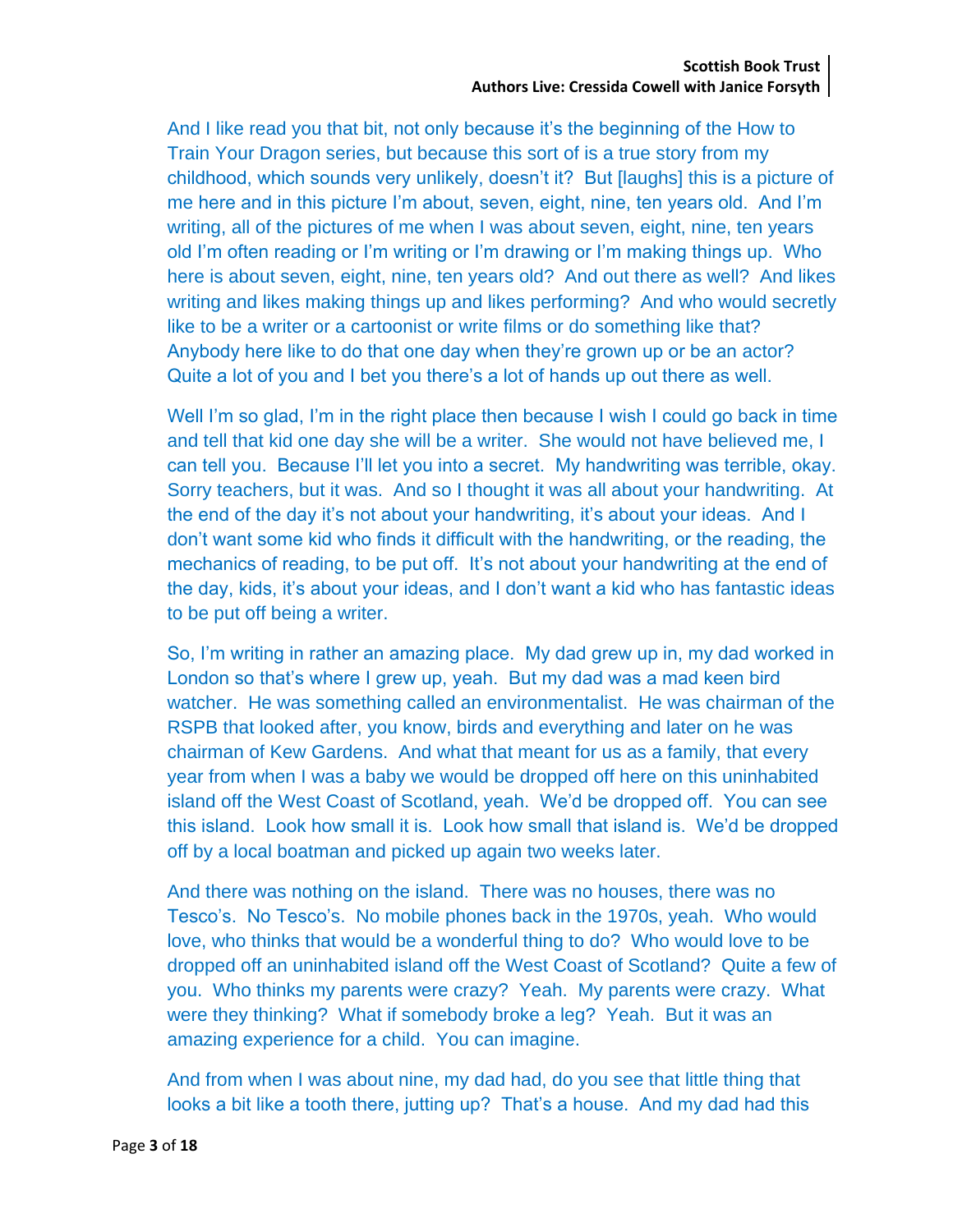And I like read you that bit, not only because it's the beginning of the How to Train Your Dragon series, but because this sort of is a true story from my childhood, which sounds very unlikely, doesn't it? But [laughs] this is a picture of me here and in this picture I'm about, seven, eight, nine, ten years old. And I'm writing, all of the pictures of me when I was about seven, eight, nine, ten years old I'm often reading or I'm writing or I'm drawing or I'm making things up. Who here is about seven, eight, nine, ten years old? And out there as well? And likes writing and likes making things up and likes performing? And who would secretly like to be a writer or a cartoonist or write films or do something like that? Anybody here like to do that one day when they're grown up or be an actor? Quite a lot of you and I bet you there's a lot of hands up out there as well.

Well I'm so glad, I'm in the right place then because I wish I could go back in time and tell that kid one day she will be a writer. She would not have believed me, I can tell you. Because I'll let you into a secret. My handwriting was terrible, okay. Sorry teachers, but it was. And so I thought it was all about your handwriting. At the end of the day it's not about your handwriting, it's about your ideas. And I don't want some kid who finds it difficult with the handwriting, or the reading, the mechanics of reading, to be put off. It's not about your handwriting at the end of the day, kids, it's about your ideas, and I don't want a kid who has fantastic ideas to be put off being a writer.

So, I'm writing in rather an amazing place. My dad grew up in, my dad worked in London so that's where I grew up, yeah. But my dad was a mad keen bird watcher. He was something called an environmentalist. He was chairman of the RSPB that looked after, you know, birds and everything and later on he was chairman of Kew Gardens. And what that meant for us as a family, that every year from when I was a baby we would be dropped off here on this uninhabited island off the West Coast of Scotland, yeah. We'd be dropped off. You can see this island. Look how small it is. Look how small that island is. We'd be dropped off by a local boatman and picked up again two weeks later.

And there was nothing on the island. There was no houses, there was no Tesco's. No Tesco's. No mobile phones back in the 1970s, yeah. Who would love, who thinks that would be a wonderful thing to do? Who would love to be dropped off an uninhabited island off the West Coast of Scotland? Quite a few of you. Who thinks my parents were crazy? Yeah. My parents were crazy. What were they thinking? What if somebody broke a leg? Yeah. But it was an amazing experience for a child. You can imagine.

And from when I was about nine, my dad had, do you see that little thing that looks a bit like a tooth there, jutting up? That's a house. And my dad had this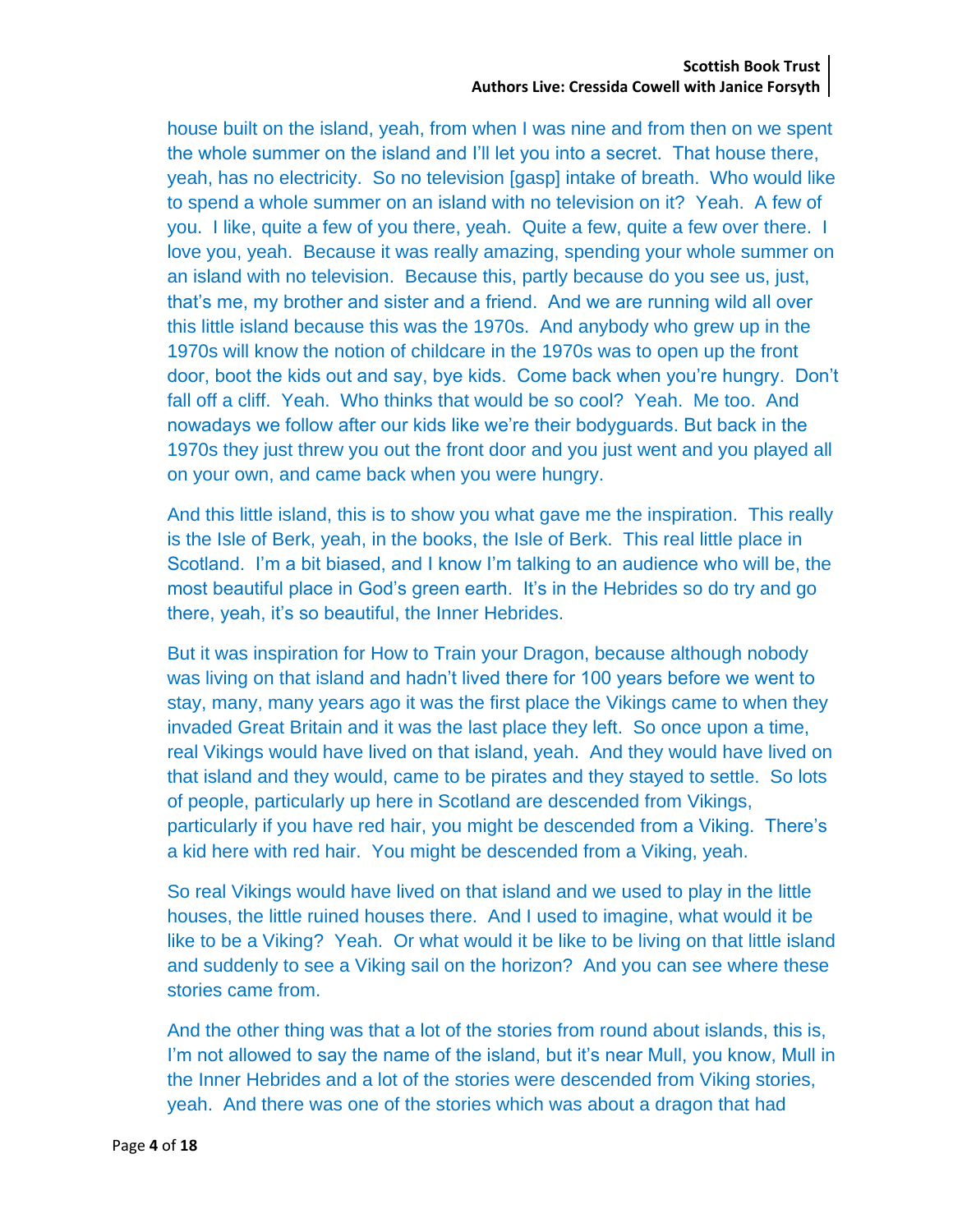house built on the island, yeah, from when I was nine and from then on we spent the whole summer on the island and I'll let you into a secret. That house there, yeah, has no electricity. So no television [gasp] intake of breath. Who would like to spend a whole summer on an island with no television on it? Yeah. A few of you. I like, quite a few of you there, yeah. Quite a few, quite a few over there. I love you, yeah. Because it was really amazing, spending your whole summer on an island with no television. Because this, partly because do you see us, just, that's me, my brother and sister and a friend. And we are running wild all over this little island because this was the 1970s. And anybody who grew up in the 1970s will know the notion of childcare in the 1970s was to open up the front door, boot the kids out and say, bye kids. Come back when you're hungry. Don't fall off a cliff. Yeah. Who thinks that would be so cool? Yeah. Me too. And nowadays we follow after our kids like we're their bodyguards. But back in the 1970s they just threw you out the front door and you just went and you played all on your own, and came back when you were hungry.

And this little island, this is to show you what gave me the inspiration. This really is the Isle of Berk, yeah, in the books, the Isle of Berk. This real little place in Scotland. I'm a bit biased, and I know I'm talking to an audience who will be, the most beautiful place in God's green earth. It's in the Hebrides so do try and go there, yeah, it's so beautiful, the Inner Hebrides.

But it was inspiration for How to Train your Dragon, because although nobody was living on that island and hadn't lived there for 100 years before we went to stay, many, many years ago it was the first place the Vikings came to when they invaded Great Britain and it was the last place they left. So once upon a time, real Vikings would have lived on that island, yeah. And they would have lived on that island and they would, came to be pirates and they stayed to settle. So lots of people, particularly up here in Scotland are descended from Vikings, particularly if you have red hair, you might be descended from a Viking. There's a kid here with red hair. You might be descended from a Viking, yeah.

So real Vikings would have lived on that island and we used to play in the little houses, the little ruined houses there. And I used to imagine, what would it be like to be a Viking? Yeah. Or what would it be like to be living on that little island and suddenly to see a Viking sail on the horizon? And you can see where these stories came from.

And the other thing was that a lot of the stories from round about islands, this is, I'm not allowed to say the name of the island, but it's near Mull, you know, Mull in the Inner Hebrides and a lot of the stories were descended from Viking stories, yeah. And there was one of the stories which was about a dragon that had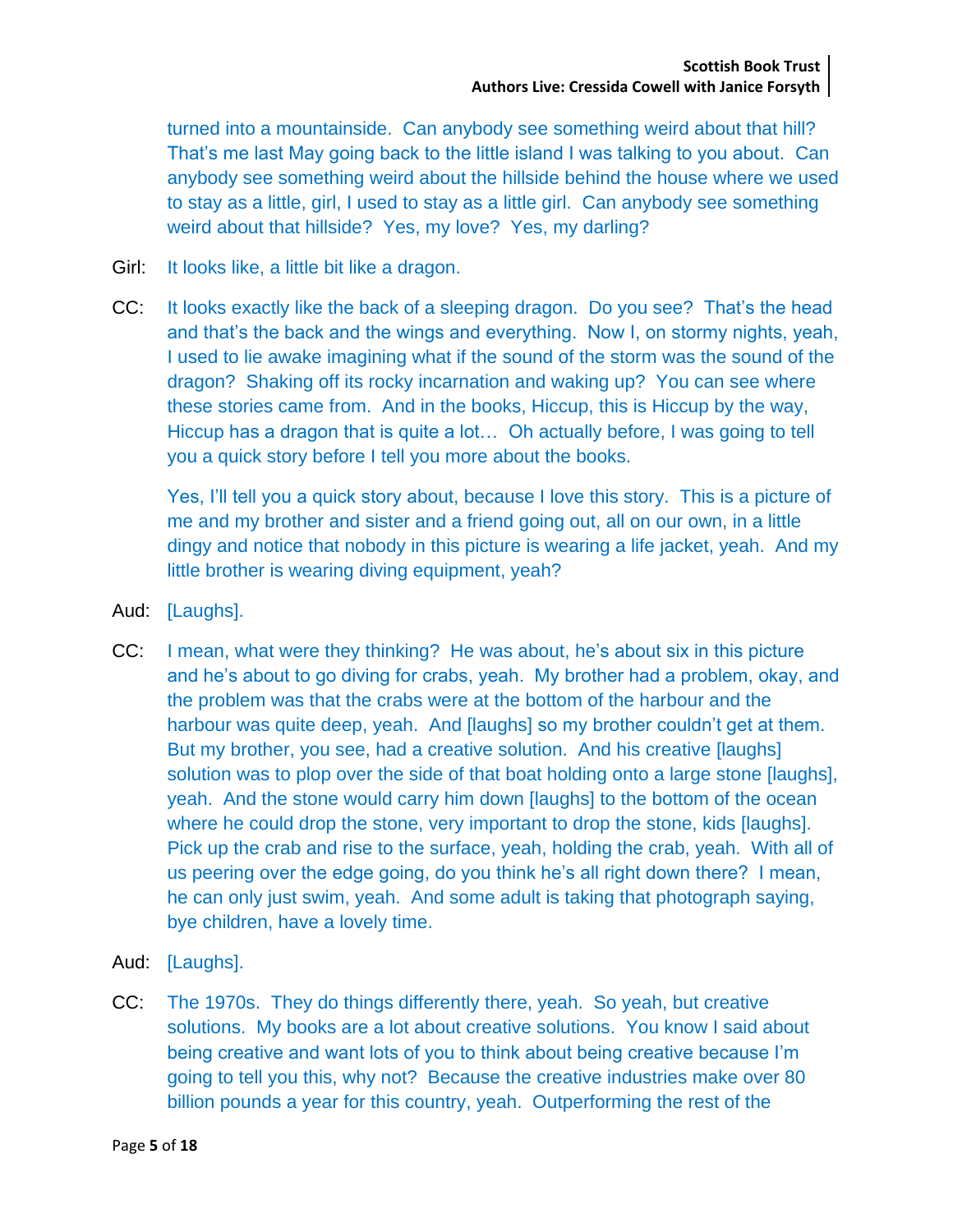turned into a mountainside. Can anybody see something weird about that hill? That's me last May going back to the little island I was talking to you about. Can anybody see something weird about the hillside behind the house where we used to stay as a little, girl, I used to stay as a little girl. Can anybody see something weird about that hillside? Yes, my love? Yes, my darling?

- Girl: It looks like, a little bit like a dragon.
- CC: It looks exactly like the back of a sleeping dragon. Do you see? That's the head and that's the back and the wings and everything. Now I, on stormy nights, yeah, I used to lie awake imagining what if the sound of the storm was the sound of the dragon? Shaking off its rocky incarnation and waking up? You can see where these stories came from. And in the books, Hiccup, this is Hiccup by the way, Hiccup has a dragon that is quite a lot… Oh actually before, I was going to tell you a quick story before I tell you more about the books.

Yes, I'll tell you a quick story about, because I love this story. This is a picture of me and my brother and sister and a friend going out, all on our own, in a little dingy and notice that nobody in this picture is wearing a life jacket, yeah. And my little brother is wearing diving equipment, yeah?

- Aud: [Laughs].
- CC: I mean, what were they thinking? He was about, he's about six in this picture and he's about to go diving for crabs, yeah. My brother had a problem, okay, and the problem was that the crabs were at the bottom of the harbour and the harbour was quite deep, yeah. And [laughs] so my brother couldn't get at them. But my brother, you see, had a creative solution. And his creative [laughs] solution was to plop over the side of that boat holding onto a large stone [laughs], yeah. And the stone would carry him down [laughs] to the bottom of the ocean where he could drop the stone, very important to drop the stone, kids [laughs]. Pick up the crab and rise to the surface, yeah, holding the crab, yeah. With all of us peering over the edge going, do you think he's all right down there? I mean, he can only just swim, yeah. And some adult is taking that photograph saying, bye children, have a lovely time.
- Aud: [Laughs].
- CC: The 1970s. They do things differently there, yeah. So yeah, but creative solutions. My books are a lot about creative solutions. You know I said about being creative and want lots of you to think about being creative because I'm going to tell you this, why not? Because the creative industries make over 80 billion pounds a year for this country, yeah. Outperforming the rest of the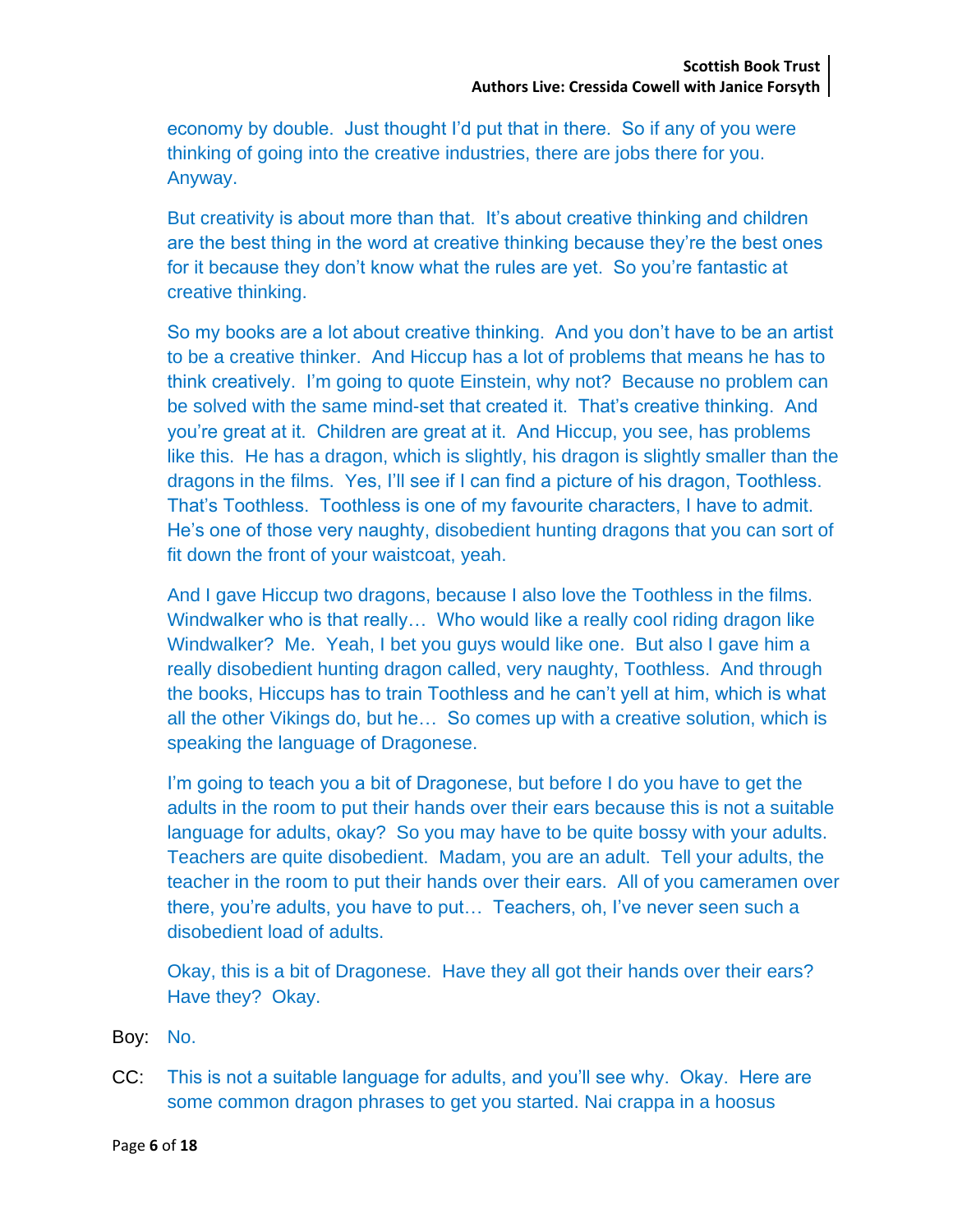economy by double. Just thought I'd put that in there. So if any of you were thinking of going into the creative industries, there are jobs there for you. Anyway.

But creativity is about more than that. It's about creative thinking and children are the best thing in the word at creative thinking because they're the best ones for it because they don't know what the rules are yet. So you're fantastic at creative thinking.

So my books are a lot about creative thinking. And you don't have to be an artist to be a creative thinker. And Hiccup has a lot of problems that means he has to think creatively. I'm going to quote Einstein, why not? Because no problem can be solved with the same mind-set that created it. That's creative thinking. And you're great at it. Children are great at it. And Hiccup, you see, has problems like this. He has a dragon, which is slightly, his dragon is slightly smaller than the dragons in the films. Yes, I'll see if I can find a picture of his dragon, Toothless. That's Toothless. Toothless is one of my favourite characters, I have to admit. He's one of those very naughty, disobedient hunting dragons that you can sort of fit down the front of your waistcoat, yeah.

And I gave Hiccup two dragons, because I also love the Toothless in the films. Windwalker who is that really… Who would like a really cool riding dragon like Windwalker? Me. Yeah, I bet you guys would like one. But also I gave him a really disobedient hunting dragon called, very naughty, Toothless. And through the books, Hiccups has to train Toothless and he can't yell at him, which is what all the other Vikings do, but he… So comes up with a creative solution, which is speaking the language of Dragonese.

I'm going to teach you a bit of Dragonese, but before I do you have to get the adults in the room to put their hands over their ears because this is not a suitable language for adults, okay? So you may have to be quite bossy with your adults. Teachers are quite disobedient. Madam, you are an adult. Tell your adults, the teacher in the room to put their hands over their ears. All of you cameramen over there, you're adults, you have to put… Teachers, oh, I've never seen such a disobedient load of adults.

Okay, this is a bit of Dragonese. Have they all got their hands over their ears? Have they? Okay.

Boy: No.

CC: This is not a suitable language for adults, and you'll see why. Okay. Here are some common dragon phrases to get you started. Nai crappa in a hoosus

Page **6** of **18**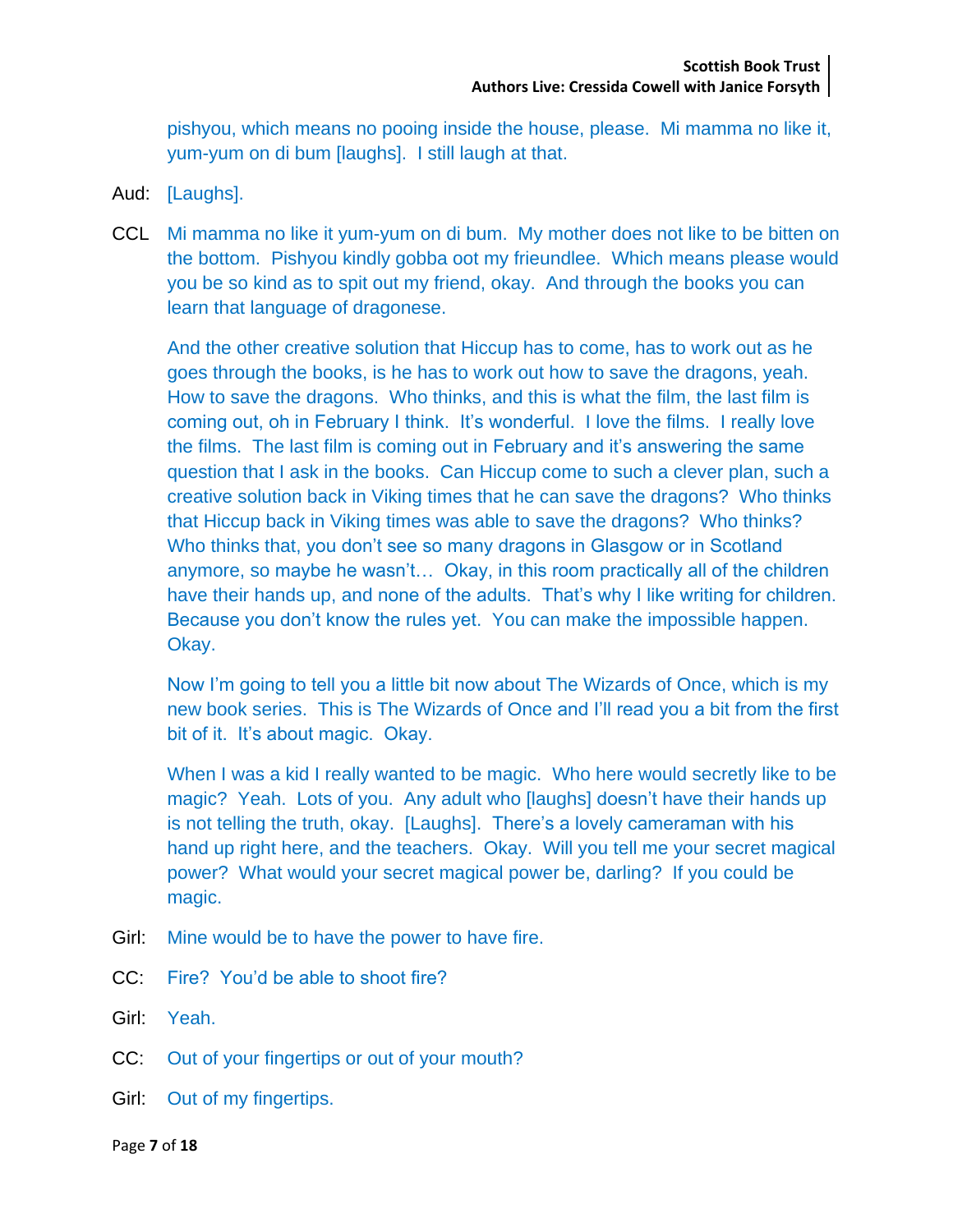pishyou, which means no pooing inside the house, please. Mi mamma no like it, yum-yum on di bum [laughs]. I still laugh at that.

- Aud: [Laughs].
- CCL Mi mamma no like it yum-yum on di bum. My mother does not like to be bitten on the bottom. Pishyou kindly gobba oot my frieundlee. Which means please would you be so kind as to spit out my friend, okay. And through the books you can learn that language of dragonese.

And the other creative solution that Hiccup has to come, has to work out as he goes through the books, is he has to work out how to save the dragons, yeah. How to save the dragons. Who thinks, and this is what the film, the last film is coming out, oh in February I think. It's wonderful. I love the films. I really love the films. The last film is coming out in February and it's answering the same question that I ask in the books. Can Hiccup come to such a clever plan, such a creative solution back in Viking times that he can save the dragons? Who thinks that Hiccup back in Viking times was able to save the dragons? Who thinks? Who thinks that, you don't see so many dragons in Glasgow or in Scotland anymore, so maybe he wasn't… Okay, in this room practically all of the children have their hands up, and none of the adults. That's why I like writing for children. Because you don't know the rules yet. You can make the impossible happen. Okay.

Now I'm going to tell you a little bit now about The Wizards of Once, which is my new book series. This is The Wizards of Once and I'll read you a bit from the first bit of it. It's about magic. Okay.

When I was a kid I really wanted to be magic. Who here would secretly like to be magic? Yeah. Lots of you. Any adult who [laughs] doesn't have their hands up is not telling the truth, okay. [Laughs]. There's a lovely cameraman with his hand up right here, and the teachers. Okay. Will you tell me your secret magical power? What would your secret magical power be, darling? If you could be magic.

- Girl: Mine would be to have the power to have fire.
- CC: Fire? You'd be able to shoot fire?
- Girl: Yeah.
- CC: Out of your fingertips or out of your mouth?
- Girl: Out of my fingertips.

Page **7** of **18**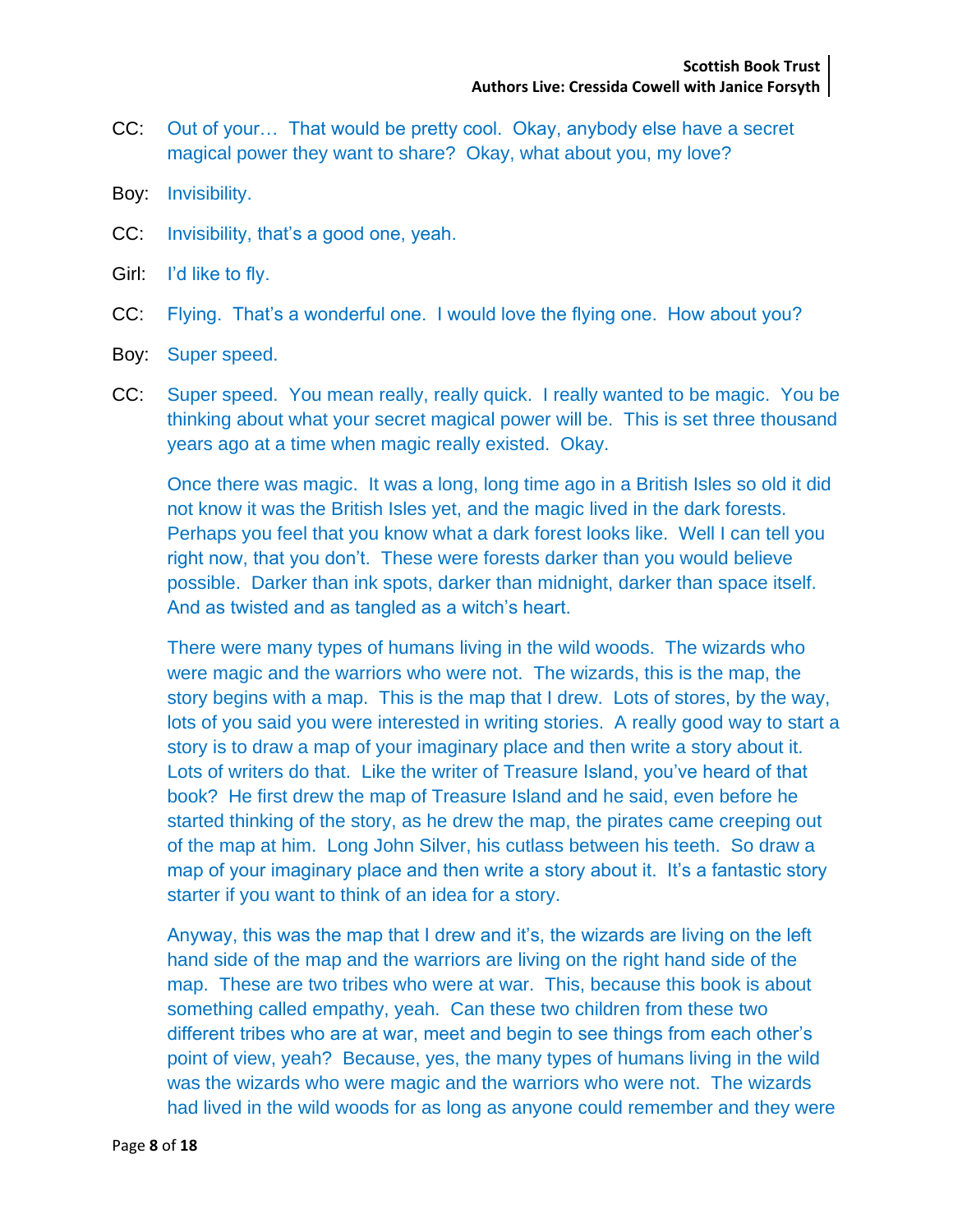- CC: Out of your… That would be pretty cool. Okay, anybody else have a secret magical power they want to share? Okay, what about you, my love?
- Boy: Invisibility.
- CC: Invisibility, that's a good one, yeah.
- Girl: I'd like to fly.
- CC: Flying. That's a wonderful one. I would love the flying one. How about you?
- Boy: Super speed.
- CC: Super speed. You mean really, really quick. I really wanted to be magic. You be thinking about what your secret magical power will be. This is set three thousand years ago at a time when magic really existed. Okay.

Once there was magic. It was a long, long time ago in a British Isles so old it did not know it was the British Isles yet, and the magic lived in the dark forests. Perhaps you feel that you know what a dark forest looks like. Well I can tell you right now, that you don't. These were forests darker than you would believe possible. Darker than ink spots, darker than midnight, darker than space itself. And as twisted and as tangled as a witch's heart.

There were many types of humans living in the wild woods. The wizards who were magic and the warriors who were not. The wizards, this is the map, the story begins with a map. This is the map that I drew. Lots of stores, by the way, lots of you said you were interested in writing stories. A really good way to start a story is to draw a map of your imaginary place and then write a story about it. Lots of writers do that. Like the writer of Treasure Island, you've heard of that book? He first drew the map of Treasure Island and he said, even before he started thinking of the story, as he drew the map, the pirates came creeping out of the map at him. Long John Silver, his cutlass between his teeth. So draw a map of your imaginary place and then write a story about it. It's a fantastic story starter if you want to think of an idea for a story.

Anyway, this was the map that I drew and it's, the wizards are living on the left hand side of the map and the warriors are living on the right hand side of the map. These are two tribes who were at war. This, because this book is about something called empathy, yeah. Can these two children from these two different tribes who are at war, meet and begin to see things from each other's point of view, yeah? Because, yes, the many types of humans living in the wild was the wizards who were magic and the warriors who were not. The wizards had lived in the wild woods for as long as anyone could remember and they were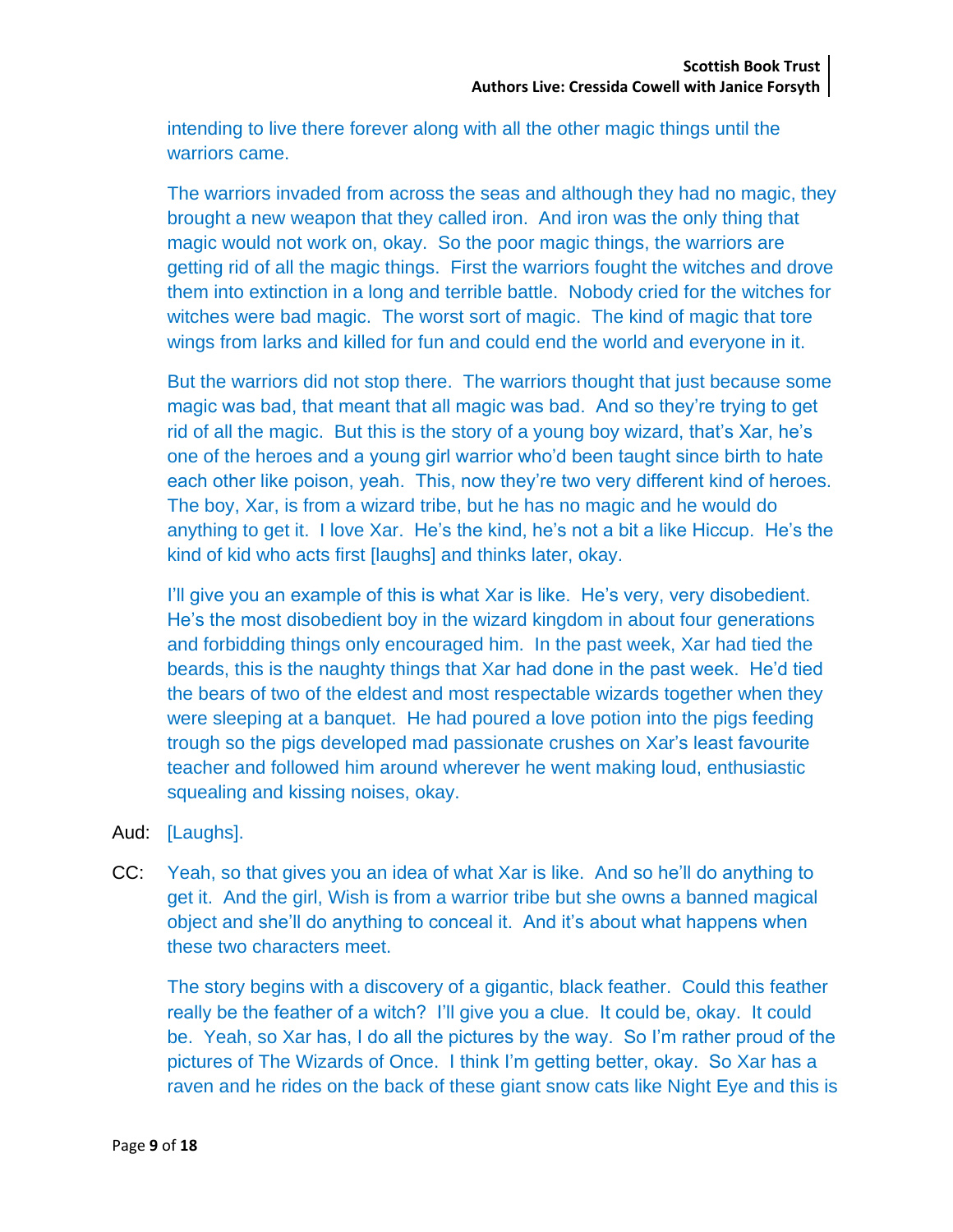intending to live there forever along with all the other magic things until the warriors came.

The warriors invaded from across the seas and although they had no magic, they brought a new weapon that they called iron. And iron was the only thing that magic would not work on, okay. So the poor magic things, the warriors are getting rid of all the magic things. First the warriors fought the witches and drove them into extinction in a long and terrible battle. Nobody cried for the witches for witches were bad magic. The worst sort of magic. The kind of magic that tore wings from larks and killed for fun and could end the world and everyone in it.

But the warriors did not stop there. The warriors thought that just because some magic was bad, that meant that all magic was bad. And so they're trying to get rid of all the magic. But this is the story of a young boy wizard, that's Xar, he's one of the heroes and a young girl warrior who'd been taught since birth to hate each other like poison, yeah. This, now they're two very different kind of heroes. The boy, Xar, is from a wizard tribe, but he has no magic and he would do anything to get it. I love Xar. He's the kind, he's not a bit a like Hiccup. He's the kind of kid who acts first [laughs] and thinks later, okay.

I'll give you an example of this is what Xar is like. He's very, very disobedient. He's the most disobedient boy in the wizard kingdom in about four generations and forbidding things only encouraged him. In the past week, Xar had tied the beards, this is the naughty things that Xar had done in the past week. He'd tied the bears of two of the eldest and most respectable wizards together when they were sleeping at a banquet. He had poured a love potion into the pigs feeding trough so the pigs developed mad passionate crushes on Xar's least favourite teacher and followed him around wherever he went making loud, enthusiastic squealing and kissing noises, okay.

- Aud: [Laughs].
- CC: Yeah, so that gives you an idea of what Xar is like. And so he'll do anything to get it. And the girl, Wish is from a warrior tribe but she owns a banned magical object and she'll do anything to conceal it. And it's about what happens when these two characters meet.

The story begins with a discovery of a gigantic, black feather. Could this feather really be the feather of a witch? I'll give you a clue. It could be, okay. It could be. Yeah, so Xar has, I do all the pictures by the way. So I'm rather proud of the pictures of The Wizards of Once. I think I'm getting better, okay. So Xar has a raven and he rides on the back of these giant snow cats like Night Eye and this is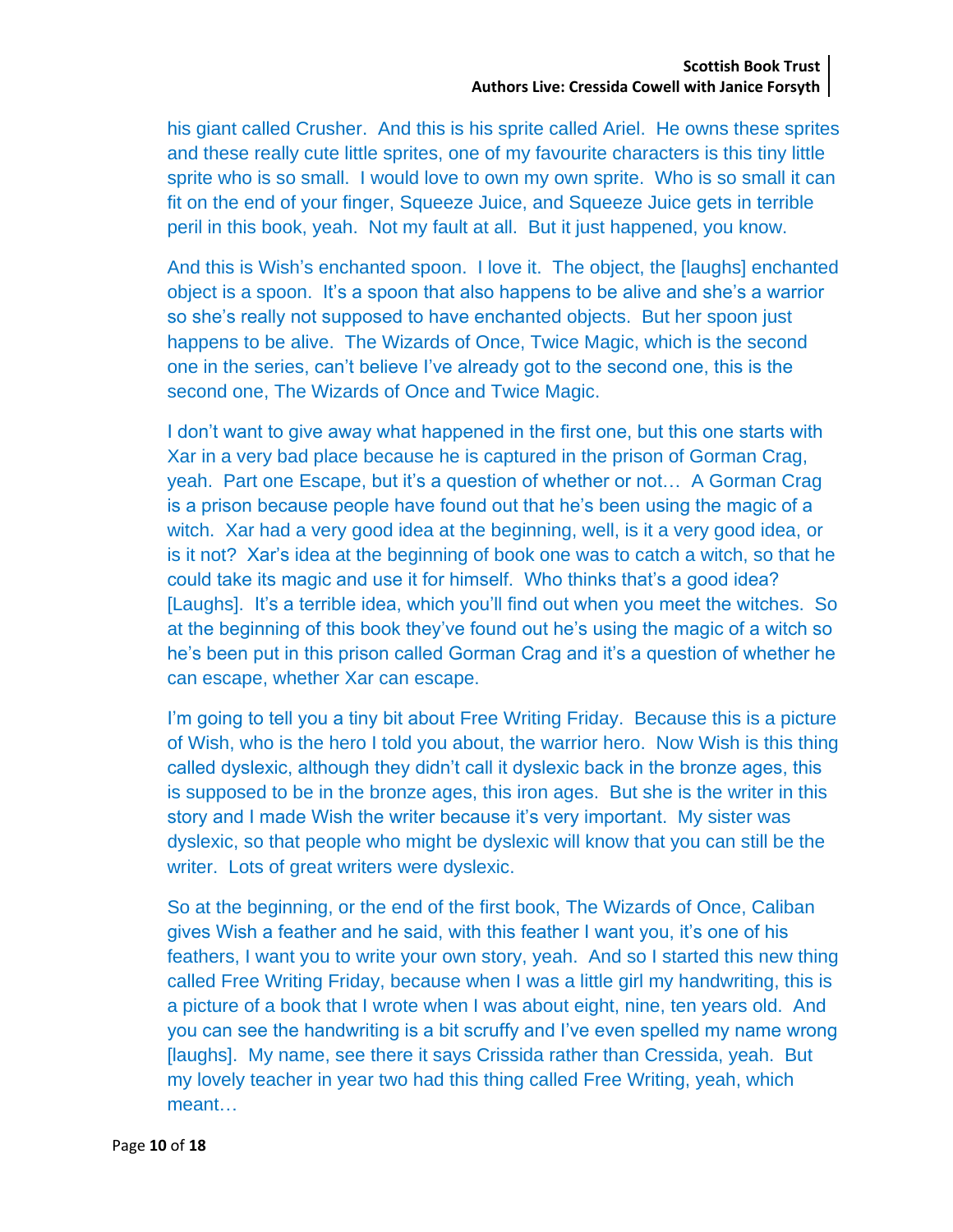his giant called Crusher. And this is his sprite called Ariel. He owns these sprites and these really cute little sprites, one of my favourite characters is this tiny little sprite who is so small. I would love to own my own sprite. Who is so small it can fit on the end of your finger, Squeeze Juice, and Squeeze Juice gets in terrible peril in this book, yeah. Not my fault at all. But it just happened, you know.

And this is Wish's enchanted spoon. I love it. The object, the [laughs] enchanted object is a spoon. It's a spoon that also happens to be alive and she's a warrior so she's really not supposed to have enchanted objects. But her spoon just happens to be alive. The Wizards of Once, Twice Magic, which is the second one in the series, can't believe I've already got to the second one, this is the second one, The Wizards of Once and Twice Magic.

I don't want to give away what happened in the first one, but this one starts with Xar in a very bad place because he is captured in the prison of Gorman Crag, yeah. Part one Escape, but it's a question of whether or not… A Gorman Crag is a prison because people have found out that he's been using the magic of a witch. Xar had a very good idea at the beginning, well, is it a very good idea, or is it not? Xar's idea at the beginning of book one was to catch a witch, so that he could take its magic and use it for himself. Who thinks that's a good idea? [Laughs]. It's a terrible idea, which you'll find out when you meet the witches. So at the beginning of this book they've found out he's using the magic of a witch so he's been put in this prison called Gorman Crag and it's a question of whether he can escape, whether Xar can escape.

I'm going to tell you a tiny bit about Free Writing Friday. Because this is a picture of Wish, who is the hero I told you about, the warrior hero. Now Wish is this thing called dyslexic, although they didn't call it dyslexic back in the bronze ages, this is supposed to be in the bronze ages, this iron ages. But she is the writer in this story and I made Wish the writer because it's very important. My sister was dyslexic, so that people who might be dyslexic will know that you can still be the writer. Lots of great writers were dyslexic.

So at the beginning, or the end of the first book, The Wizards of Once, Caliban gives Wish a feather and he said, with this feather I want you, it's one of his feathers, I want you to write your own story, yeah. And so I started this new thing called Free Writing Friday, because when I was a little girl my handwriting, this is a picture of a book that I wrote when I was about eight, nine, ten years old. And you can see the handwriting is a bit scruffy and I've even spelled my name wrong [laughs]. My name, see there it says Crissida rather than Cressida, yeah. But my lovely teacher in year two had this thing called Free Writing, yeah, which meant…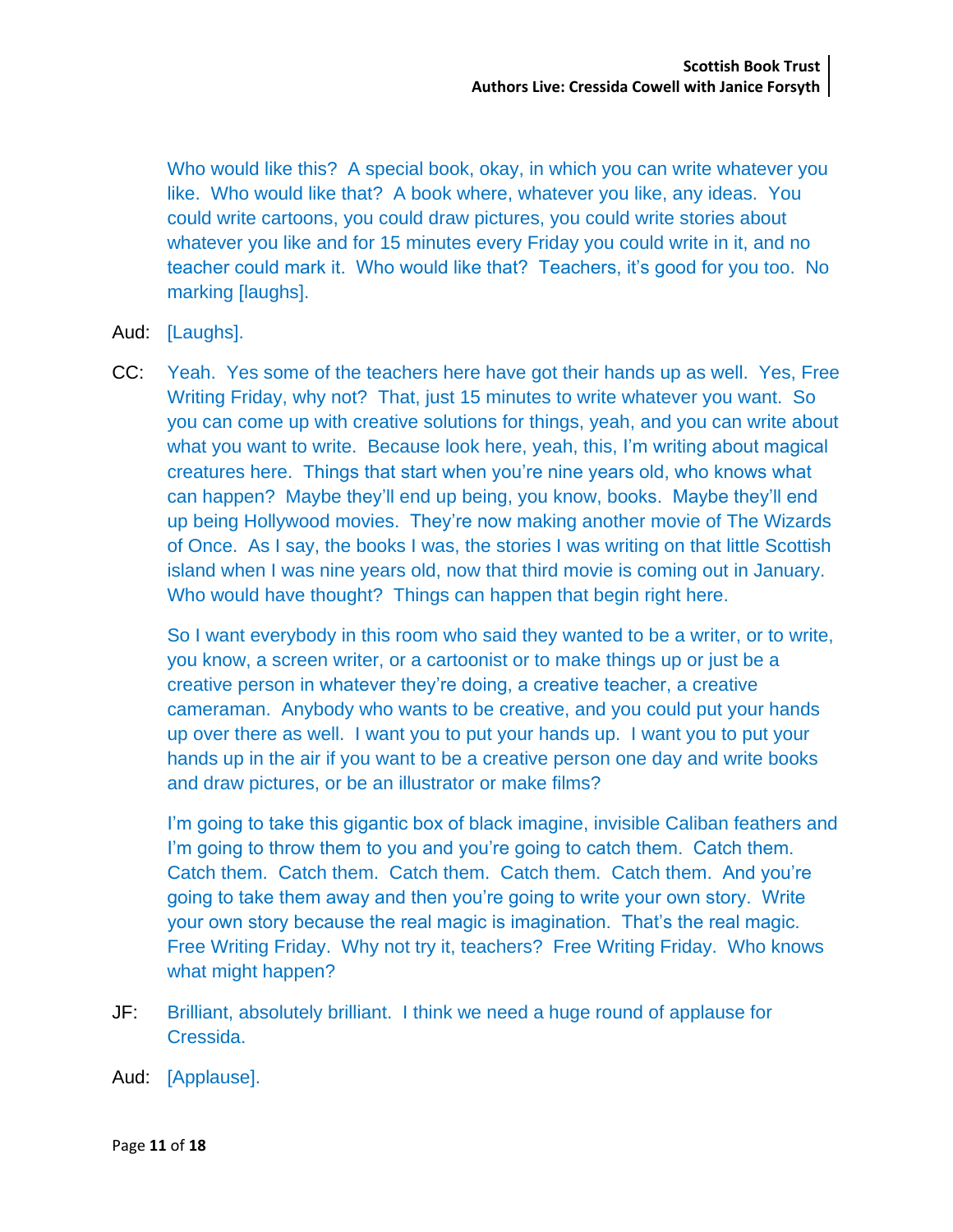Who would like this? A special book, okay, in which you can write whatever you like. Who would like that? A book where, whatever you like, any ideas. You could write cartoons, you could draw pictures, you could write stories about whatever you like and for 15 minutes every Friday you could write in it, and no teacher could mark it. Who would like that? Teachers, it's good for you too. No marking [laughs].

- Aud: [Laughs].
- CC: Yeah. Yes some of the teachers here have got their hands up as well. Yes, Free Writing Friday, why not? That, just 15 minutes to write whatever you want. So you can come up with creative solutions for things, yeah, and you can write about what you want to write. Because look here, yeah, this, I'm writing about magical creatures here. Things that start when you're nine years old, who knows what can happen? Maybe they'll end up being, you know, books. Maybe they'll end up being Hollywood movies. They're now making another movie of The Wizards of Once. As I say, the books I was, the stories I was writing on that little Scottish island when I was nine years old, now that third movie is coming out in January. Who would have thought? Things can happen that begin right here.

So I want everybody in this room who said they wanted to be a writer, or to write, you know, a screen writer, or a cartoonist or to make things up or just be a creative person in whatever they're doing, a creative teacher, a creative cameraman. Anybody who wants to be creative, and you could put your hands up over there as well. I want you to put your hands up. I want you to put your hands up in the air if you want to be a creative person one day and write books and draw pictures, or be an illustrator or make films?

I'm going to take this gigantic box of black imagine, invisible Caliban feathers and I'm going to throw them to you and you're going to catch them. Catch them. Catch them. Catch them. Catch them. Catch them. Catch them. And you're going to take them away and then you're going to write your own story. Write your own story because the real magic is imagination. That's the real magic. Free Writing Friday. Why not try it, teachers? Free Writing Friday. Who knows what might happen?

- JF: Brilliant, absolutely brilliant. I think we need a huge round of applause for Cressida.
- Aud: [Applause].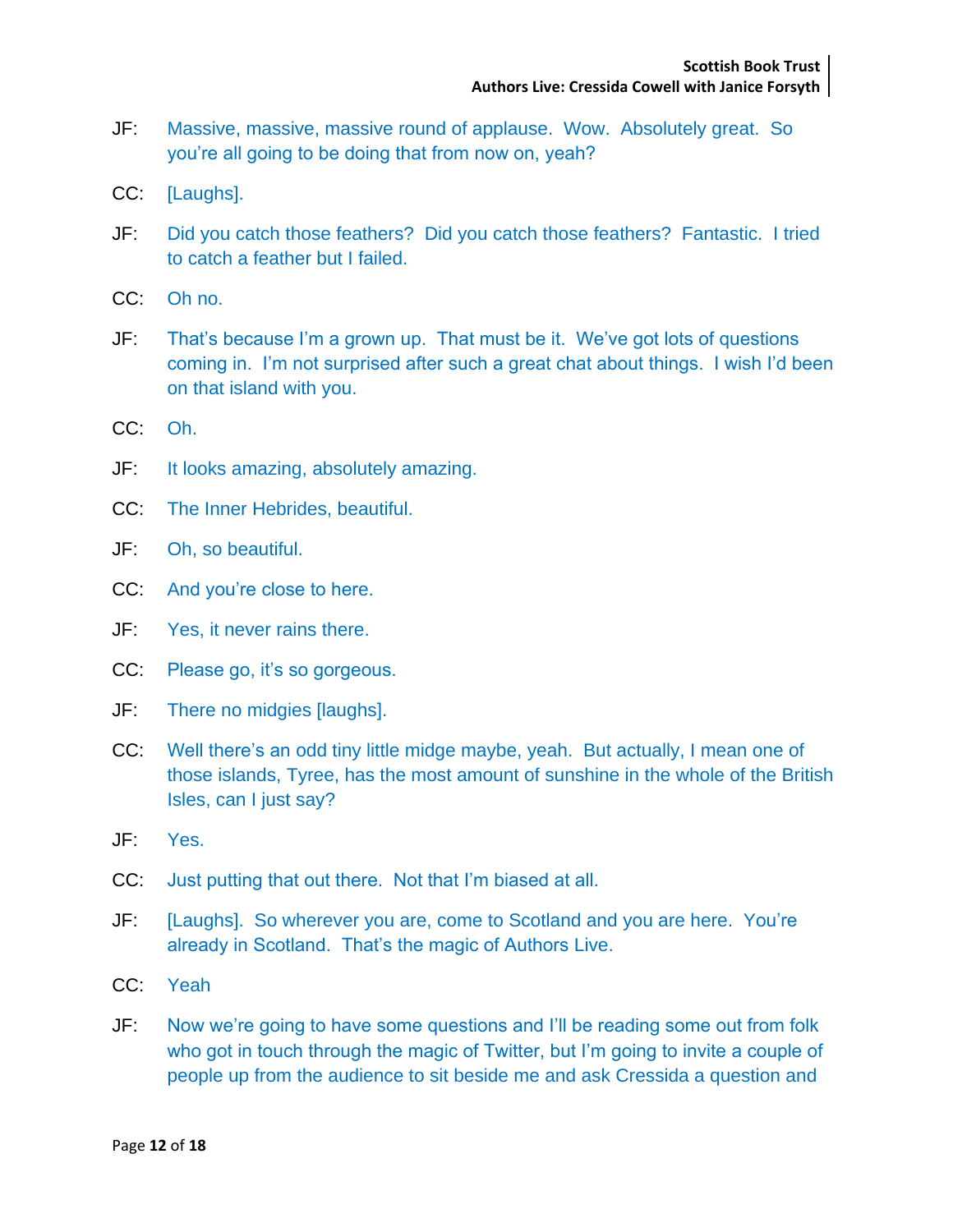- JF: Massive, massive, massive round of applause. Wow. Absolutely great. So you're all going to be doing that from now on, yeah?
- CC: [Laughs].
- JF: Did you catch those feathers? Did you catch those feathers? Fantastic. I tried to catch a feather but I failed.
- CC: Oh no.
- JF: That's because I'm a grown up. That must be it. We've got lots of questions coming in. I'm not surprised after such a great chat about things. I wish I'd been on that island with you.
- CC: Oh.
- JF: It looks amazing, absolutely amazing.
- CC: The Inner Hebrides, beautiful.
- JF: Oh, so beautiful.
- CC: And you're close to here.
- JF: Yes, it never rains there.
- CC: Please go, it's so gorgeous.
- JF: There no midgies [laughs].
- CC: Well there's an odd tiny little midge maybe, yeah. But actually, I mean one of those islands, Tyree, has the most amount of sunshine in the whole of the British Isles, can I just say?
- JF: Yes.
- CC: Just putting that out there. Not that I'm biased at all.
- JF: [Laughs]. So wherever you are, come to Scotland and you are here. You're already in Scotland. That's the magic of Authors Live.
- CC: Yeah
- JF: Now we're going to have some questions and I'll be reading some out from folk who got in touch through the magic of Twitter, but I'm going to invite a couple of people up from the audience to sit beside me and ask Cressida a question and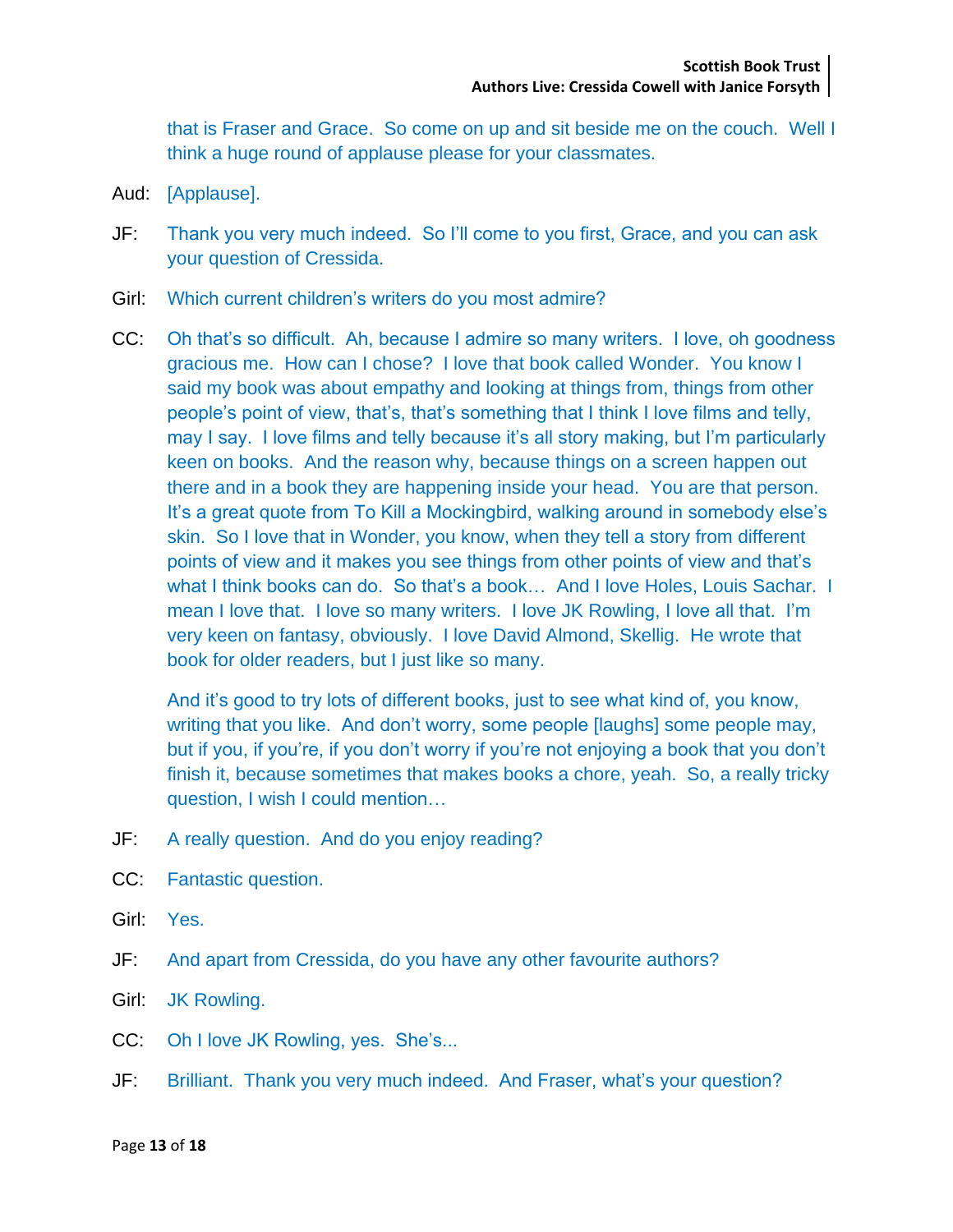that is Fraser and Grace. So come on up and sit beside me on the couch. Well I think a huge round of applause please for your classmates.

- Aud: [Applause].
- JF: Thank you very much indeed. So I'll come to you first, Grace, and you can ask your question of Cressida.
- Girl: Which current children's writers do you most admire?
- CC: Oh that's so difficult. Ah, because I admire so many writers. I love, oh goodness gracious me. How can I chose? I love that book called Wonder. You know I said my book was about empathy and looking at things from, things from other people's point of view, that's, that's something that I think I love films and telly, may I say. I love films and telly because it's all story making, but I'm particularly keen on books. And the reason why, because things on a screen happen out there and in a book they are happening inside your head. You are that person. It's a great quote from To Kill a Mockingbird, walking around in somebody else's skin. So I love that in Wonder, you know, when they tell a story from different points of view and it makes you see things from other points of view and that's what I think books can do. So that's a book… And I love Holes, Louis Sachar. I mean I love that. I love so many writers. I love JK Rowling, I love all that. I'm very keen on fantasy, obviously. I love David Almond, Skellig. He wrote that book for older readers, but I just like so many.

And it's good to try lots of different books, just to see what kind of, you know, writing that you like. And don't worry, some people [laughs] some people may, but if you, if you're, if you don't worry if you're not enjoying a book that you don't finish it, because sometimes that makes books a chore, yeah. So, a really tricky question, I wish I could mention…

- JF: A really question. And do you enjoy reading?
- CC: Fantastic question.
- Girl: Yes.
- JF: And apart from Cressida, do you have any other favourite authors?
- Girl: JK Rowling.
- CC: Oh I love JK Rowling, yes. She's...
- JF: Brilliant. Thank you very much indeed. And Fraser, what's your question?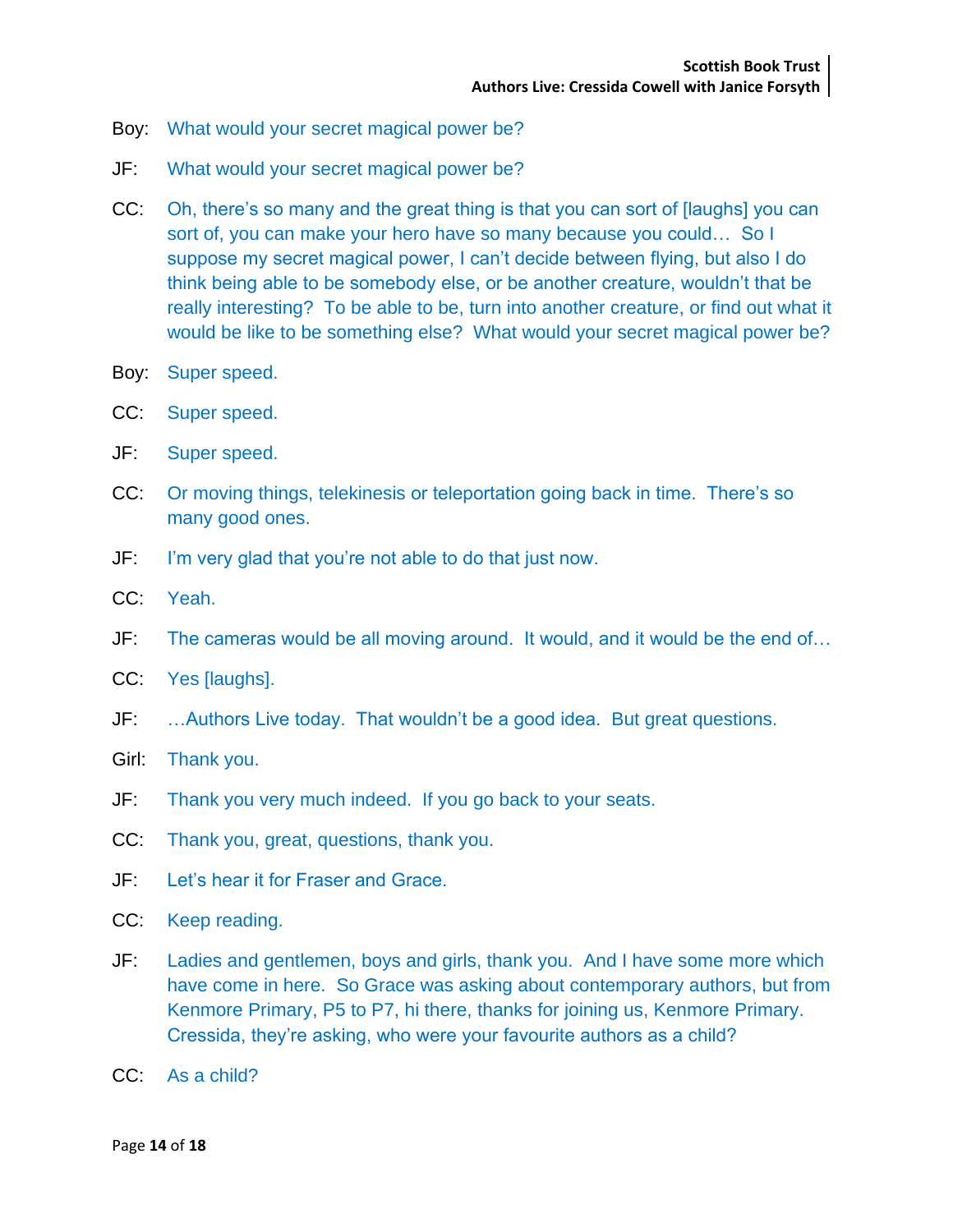- Boy: What would your secret magical power be?
- JF: What would your secret magical power be?
- CC: Oh, there's so many and the great thing is that you can sort of [laughs] you can sort of, you can make your hero have so many because you could… So I suppose my secret magical power, I can't decide between flying, but also I do think being able to be somebody else, or be another creature, wouldn't that be really interesting? To be able to be, turn into another creature, or find out what it would be like to be something else? What would your secret magical power be?
- Boy: Super speed.
- CC: Super speed.
- JF: Super speed.
- CC: Or moving things, telekinesis or teleportation going back in time. There's so many good ones.
- JF: I'm very glad that you're not able to do that just now.
- CC: Yeah.
- JF: The cameras would be all moving around. It would, and it would be the end of…
- CC: Yes [laughs].
- JF: …Authors Live today. That wouldn't be a good idea. But great questions.
- Girl: Thank you.
- JF: Thank you very much indeed. If you go back to your seats.
- CC: Thank you, great, questions, thank you.
- JF: Let's hear it for Fraser and Grace.
- CC: Keep reading.
- JF: Ladies and gentlemen, boys and girls, thank you. And I have some more which have come in here. So Grace was asking about contemporary authors, but from Kenmore Primary, P5 to P7, hi there, thanks for joining us, Kenmore Primary. Cressida, they're asking, who were your favourite authors as a child?
- CC: As a child?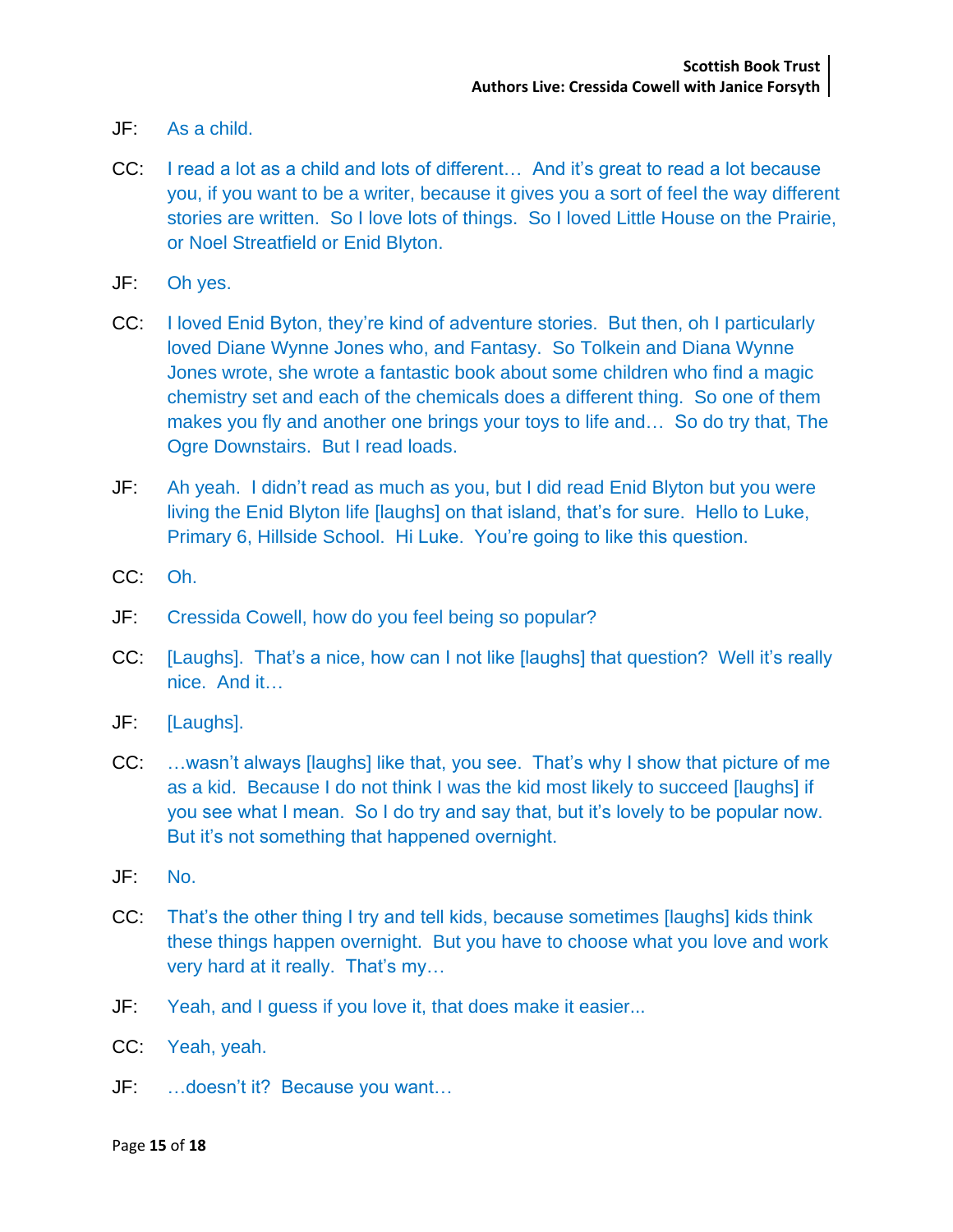- JF: As a child.
- CC: I read a lot as a child and lots of different… And it's great to read a lot because you, if you want to be a writer, because it gives you a sort of feel the way different stories are written. So I love lots of things. So I loved Little House on the Prairie, or Noel Streatfield or Enid Blyton.
- JF: Oh yes.
- CC: I loved Enid Byton, they're kind of adventure stories. But then, oh I particularly loved Diane Wynne Jones who, and Fantasy. So Tolkein and Diana Wynne Jones wrote, she wrote a fantastic book about some children who find a magic chemistry set and each of the chemicals does a different thing. So one of them makes you fly and another one brings your toys to life and… So do try that, The Ogre Downstairs. But I read loads.
- JF: Ah yeah. I didn't read as much as you, but I did read Enid Blyton but you were living the Enid Blyton life [laughs] on that island, that's for sure. Hello to Luke, Primary 6, Hillside School. Hi Luke. You're going to like this question.
- CC: Oh.
- JF: Cressida Cowell, how do you feel being so popular?
- CC: [Laughs]. That's a nice, how can I not like [laughs] that question? Well it's really nice. And it…
- JF: [Laughs].
- CC: …wasn't always [laughs] like that, you see. That's why I show that picture of me as a kid. Because I do not think I was the kid most likely to succeed [laughs] if you see what I mean. So I do try and say that, but it's lovely to be popular now. But it's not something that happened overnight.
- JF: No.
- CC: That's the other thing I try and tell kids, because sometimes [laughs] kids think these things happen overnight. But you have to choose what you love and work very hard at it really. That's my…
- JF: Yeah, and I guess if you love it, that does make it easier...
- CC: Yeah, yeah.
- JF: …doesn't it? Because you want…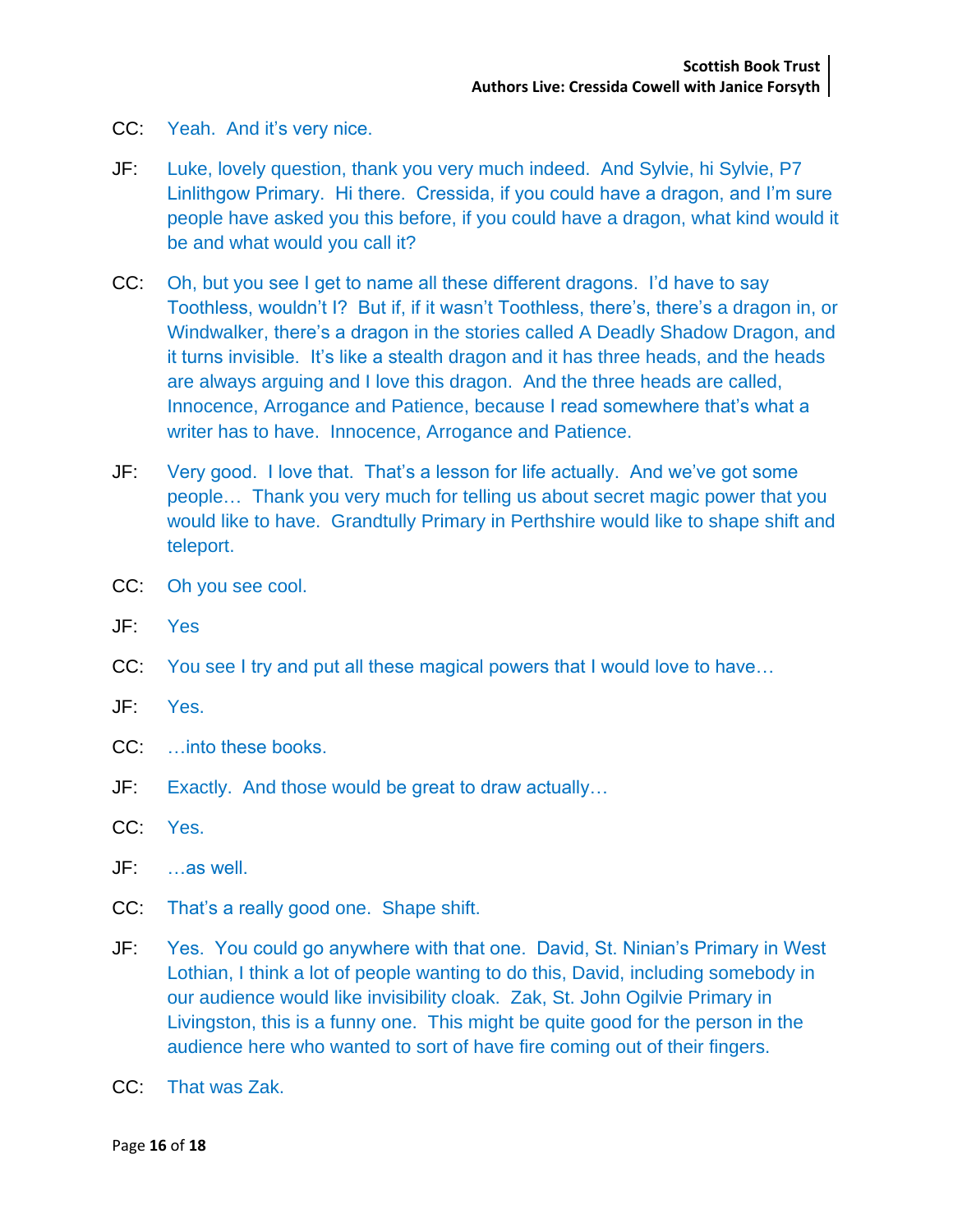- CC: Yeah. And it's very nice.
- JF: Luke, lovely question, thank you very much indeed. And Sylvie, hi Sylvie, P7 Linlithgow Primary. Hi there. Cressida, if you could have a dragon, and I'm sure people have asked you this before, if you could have a dragon, what kind would it be and what would you call it?
- CC: Oh, but you see I get to name all these different dragons. I'd have to say Toothless, wouldn't I? But if, if it wasn't Toothless, there's, there's a dragon in, or Windwalker, there's a dragon in the stories called A Deadly Shadow Dragon, and it turns invisible. It's like a stealth dragon and it has three heads, and the heads are always arguing and I love this dragon. And the three heads are called, Innocence, Arrogance and Patience, because I read somewhere that's what a writer has to have. Innocence, Arrogance and Patience.
- JF: Very good. I love that. That's a lesson for life actually. And we've got some people… Thank you very much for telling us about secret magic power that you would like to have. Grandtully Primary in Perthshire would like to shape shift and teleport.
- CC: Oh you see cool.
- JF: Yes
- CC: You see I try and put all these magical powers that I would love to have…
- JF: Yes.
- CC: …into these books.
- JF: Exactly. And those would be great to draw actually…
- CC: Yes.
- JF: …as well.
- CC: That's a really good one. Shape shift.
- JF: Yes. You could go anywhere with that one. David, St. Ninian's Primary in West Lothian, I think a lot of people wanting to do this, David, including somebody in our audience would like invisibility cloak. Zak, St. John Ogilvie Primary in Livingston, this is a funny one. This might be quite good for the person in the audience here who wanted to sort of have fire coming out of their fingers.
- CC: That was Zak.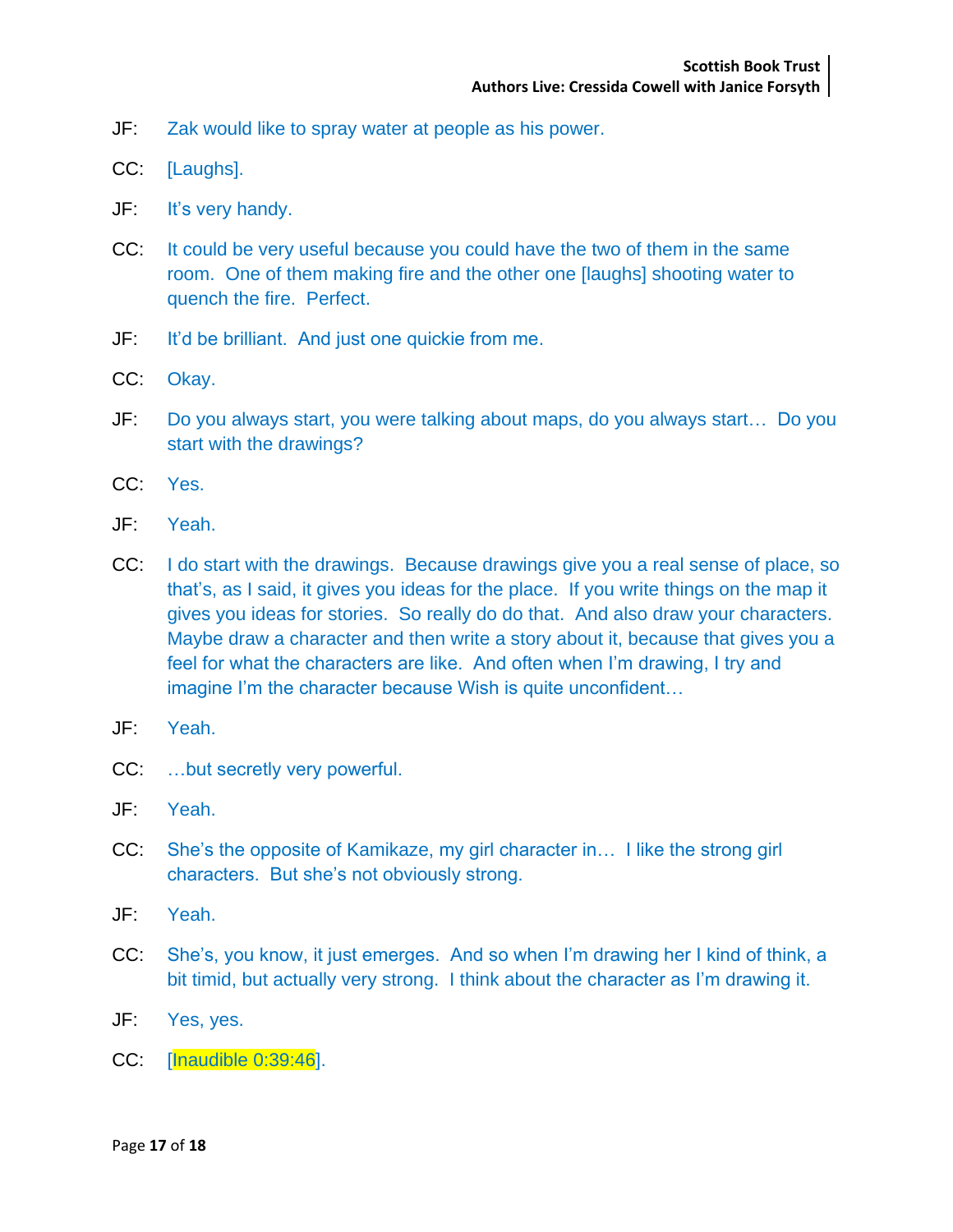- JF: Zak would like to spray water at people as his power.
- CC: [Laughs].
- JF: It's very handy.
- CC: It could be very useful because you could have the two of them in the same room. One of them making fire and the other one [laughs] shooting water to quench the fire. Perfect.
- JF: It'd be brilliant. And just one quickie from me.
- CC: Okay.
- JF: Do you always start, you were talking about maps, do you always start… Do you start with the drawings?
- CC: Yes.
- JF: Yeah.
- CC: I do start with the drawings. Because drawings give you a real sense of place, so that's, as I said, it gives you ideas for the place. If you write things on the map it gives you ideas for stories. So really do do that. And also draw your characters. Maybe draw a character and then write a story about it, because that gives you a feel for what the characters are like. And often when I'm drawing, I try and imagine I'm the character because Wish is quite unconfident…
- JF: Yeah.
- CC: …but secretly very powerful.
- JF: Yeah.
- CC: She's the opposite of Kamikaze, my girl character in… I like the strong girl characters. But she's not obviously strong.
- JF: Yeah.
- CC: She's, you know, it just emerges. And so when I'm drawing her I kind of think, a bit timid, but actually very strong. I think about the character as I'm drawing it.
- JF: Yes, yes.
- CC: [Inaudible 0:39:46].